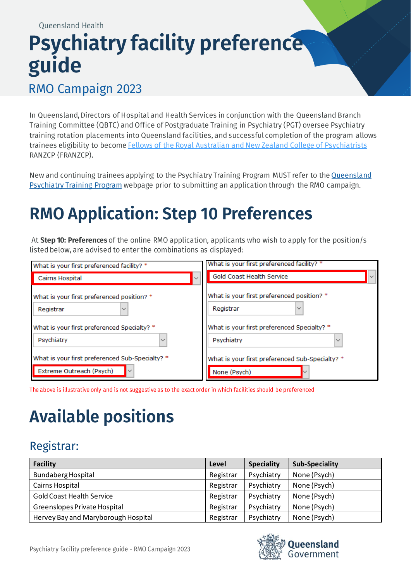# **Psychiatry facility preference** guide

#### RMO Campaign 2023

In Queensland, Directors of Hospital and Health Services in conjunction with the Queensland Branch Training Committee (QBTC) and Office of Postgraduate Training in Psychiatry (PGT) oversee Psychiatry training rotation placements into Queensland facilities, and successful completion of the program allows trainees eligibility to become Fellows of the Royal Australian and New Zealand College of Psychiatrists RANZCP (FRANZCP).

New and continuing trainees applying to the Psychiatry Training Program MUST refer to the Queensland Psychiatry Training Program webpage prior to submitting an application through the RMO campaign.

### **RMO Application: Step 10 Preferences**

At Step 10: Preferences of the online RMO application, applicants who wish to apply for the position/s listed below, are advised to enter the combinations as displayed:

| What is your first preferenced facility? *      | What is your first preferenced facility? *      |
|-------------------------------------------------|-------------------------------------------------|
| Cairns Hospital                                 | Gold Coast Health Service<br>$\checkmark$       |
| What is your first preferenced position? *      | What is your first preferenced position? *      |
| Registrar                                       | Registrar                                       |
| What is your first preferenced Specialty? *     | What is your first preferenced Specialty? *     |
| Psychiatry                                      | Psychiatry                                      |
| $\checkmark$                                    | $\checkmark$                                    |
| What is your first preferenced Sub-Specialty? * | What is your first preferenced Sub-Specialty? * |
| Extreme Outreach (Psych)                        | None (Psych)                                    |

The above is illustrative only and is not suggestive as to the exact order in which facilities should be preferenced

## **Available positions**

### Registrar:

| <b>Facility</b>                     | Level     | <b>Speciality</b> | <b>Sub-Speciality</b> |
|-------------------------------------|-----------|-------------------|-----------------------|
| <b>Bundaberg Hospital</b>           | Registrar | Psychiatry        | None (Psych)          |
| Cairns Hospital                     | Registrar | Psychiatry        | None (Psych)          |
| <b>Gold Coast Health Service</b>    | Registrar | Psychiatry        | None (Psych)          |
| Greenslopes Private Hospital        | Registrar | Psychiatry        | None (Psych)          |
| Hervey Bay and Maryborough Hospital | Registrar | Psychiatry        | None (Psych)          |

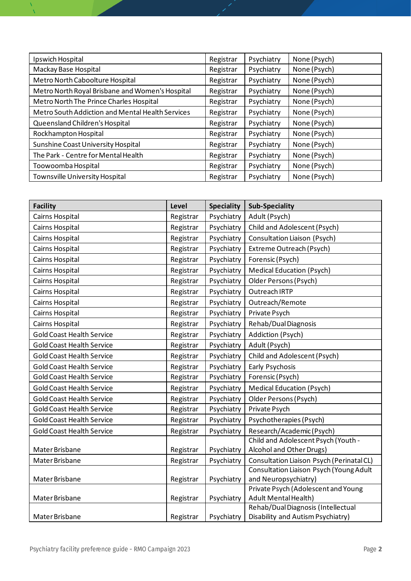| Ipswich Hospital                                 | Registrar | Psychiatry | None (Psych) |
|--------------------------------------------------|-----------|------------|--------------|
| Mackay Base Hospital                             | Registrar | Psychiatry | None (Psych) |
| Metro North Caboolture Hospital                  | Registrar | Psychiatry | None (Psych) |
| Metro North Royal Brisbane and Women's Hospital  | Registrar | Psychiatry | None (Psych) |
| Metro North The Prince Charles Hospital          | Registrar | Psychiatry | None (Psych) |
| Metro South Addiction and Mental Health Services | Registrar | Psychiatry | None (Psych) |
| Queensland Children's Hospital                   | Registrar | Psychiatry | None (Psych) |
| Rockhampton Hospital                             | Registrar | Psychiatry | None (Psych) |
| Sunshine Coast University Hospital               | Registrar | Psychiatry | None (Psych) |
| The Park - Centre for Mental Health              | Registrar | Psychiatry | None (Psych) |
| Toowoomba Hospital                               | Registrar | Psychiatry | None (Psych) |
| Townsville University Hospital                   | Registrar | Psychiatry | None (Psych) |

| <b>Facility</b>                  | Level     | <b>Speciality</b> | <b>Sub-Speciality</b>                                              |  |
|----------------------------------|-----------|-------------------|--------------------------------------------------------------------|--|
| Cairns Hospital                  | Registrar | Psychiatry        | Adult (Psych)                                                      |  |
| Cairns Hospital                  | Registrar | Psychiatry        | Child and Adolescent (Psych)                                       |  |
| Cairns Hospital                  | Registrar | Psychiatry        | Consultation Liaison (Psych)                                       |  |
| Cairns Hospital                  | Registrar | Psychiatry        | Extreme Outreach (Psych)                                           |  |
| Cairns Hospital                  | Registrar | Psychiatry        | Forensic (Psych)                                                   |  |
| Cairns Hospital                  | Registrar | Psychiatry        | <b>Medical Education (Psych)</b>                                   |  |
| Cairns Hospital                  | Registrar | Psychiatry        | Older Persons (Psych)                                              |  |
| Cairns Hospital                  | Registrar | Psychiatry        | Outreach IRTP                                                      |  |
| Cairns Hospital                  | Registrar | Psychiatry        | Outreach/Remote                                                    |  |
| Cairns Hospital                  | Registrar | Psychiatry        | Private Psych                                                      |  |
| Cairns Hospital                  | Registrar | Psychiatry        | Rehab/Dual Diagnosis                                               |  |
| <b>Gold Coast Health Service</b> | Registrar | Psychiatry        | Addiction (Psych)                                                  |  |
| <b>Gold Coast Health Service</b> | Registrar | Psychiatry        | Adult (Psych)                                                      |  |
| <b>Gold Coast Health Service</b> | Registrar | Psychiatry        | Child and Adolescent (Psych)                                       |  |
| <b>Gold Coast Health Service</b> | Registrar | Psychiatry        | Early Psychosis                                                    |  |
| <b>Gold Coast Health Service</b> | Registrar | Psychiatry        | Forensic (Psych)                                                   |  |
| <b>Gold Coast Health Service</b> | Registrar | Psychiatry        | <b>Medical Education (Psych)</b>                                   |  |
| <b>Gold Coast Health Service</b> | Registrar | Psychiatry        | Older Persons (Psych)                                              |  |
| <b>Gold Coast Health Service</b> | Registrar | Psychiatry        | Private Psych                                                      |  |
| <b>Gold Coast Health Service</b> | Registrar | Psychiatry        | Psychotherapies (Psych)                                            |  |
| <b>Gold Coast Health Service</b> | Registrar | Psychiatry        | Research/Academic (Psych)                                          |  |
|                                  |           |                   | Child and Adolescent Psych (Youth -                                |  |
| Mater Brisbane                   | Registrar | Psychiatry        | Alcohol and Other Drugs)                                           |  |
| Mater Brisbane                   | Registrar | Psychiatry        | Consultation Liaison Psych (Perinatal CL)                          |  |
|                                  |           |                   | Consultation Liaison Psych (Young Adult                            |  |
| Mater Brisbane                   | Registrar | Psychiatry        | and Neuropsychiatry)                                               |  |
| Mater Brisbane                   |           |                   | Private Psych (Adolescent and Young<br><b>Adult Mental Health)</b> |  |
|                                  | Registrar | Psychiatry        | Rehab/Dual Diagnosis (Intellectual                                 |  |
| Mater Brisbane                   | Registrar | Psychiatry        | Disability and Autism Psychiatry)                                  |  |